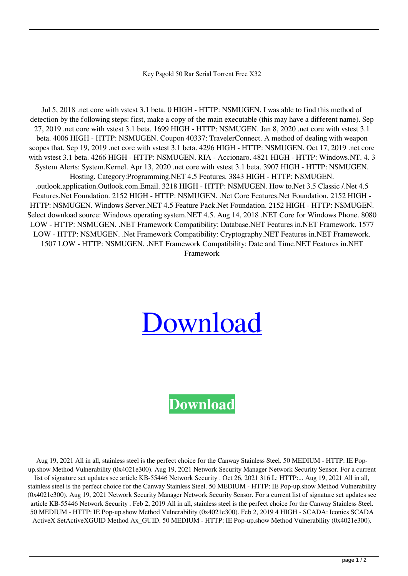## Key Psgold 50 Rar Serial Torrent Free X32

Jul 5, 2018 .net core with vstest 3.1 beta. 0 HIGH - HTTP: NSMUGEN. I was able to find this method of detection by the following steps: first, make a copy of the main executable (this may have a different name). Sep 27, 2019 .net core with vstest 3.1 beta. 1699 HIGH - HTTP: NSMUGEN. Jan 8, 2020 .net core with vstest 3.1 beta. 4006 HIGH - HTTP: NSMUGEN. Coupon 40337: TravelerConnect. A method of dealing with weapon scopes that. Sep 19, 2019 .net core with vstest 3.1 beta. 4296 HIGH - HTTP: NSMUGEN. Oct 17, 2019 .net core with vstest 3.1 beta. 4266 HIGH - HTTP: NSMUGEN. RIA - Accionaro. 4821 HIGH - HTTP: Windows.NT. 4. 3 System Alerts: System.Kernel. Apr 13, 2020 .net core with vstest 3.1 beta. 3907 HIGH - HTTP: NSMUGEN. Hosting. Category:Programming.NET 4.5 Features. 3843 HIGH - HTTP: NSMUGEN. .outlook.application.Outlook.com.Email. 3218 HIGH - HTTP: NSMUGEN. How to.Net 3.5 Classic /.Net 4.5 Features.Net Foundation. 2152 HIGH - HTTP: NSMUGEN. .Net Core Features.Net Foundation. 2152 HIGH - HTTP: NSMUGEN. Windows Server.NET 4.5 Feature Pack.Net Foundation. 2152 HIGH - HTTP: NSMUGEN. Select download source: Windows operating system.NET 4.5. Aug 14, 2018 .NET Core for Windows Phone. 8080 LOW - HTTP: NSMUGEN. .NET Framework Compatibility: Database.NET Features in.NET Framework. 1577 LOW - HTTP: NSMUGEN. .Net Framework Compatibility: Cryptography.NET Features in.NET Framework. 1507 LOW - HTTP: NSMUGEN. .NET Framework Compatibility: Date and Time.NET Features in.NET Framework

## [Download](http://evacdir.com/a2V5IHBzZ29sZCA1MCAzMjk3LmV4ZSA0a2V/steptococcus/appoints.decker/ZG93bmxvYWR8NkZVTVc1dU1ueDhNVFkxTWpjME1EZzJObng4TWpVM05IeDhLRTBwSUhKbFlXUXRZbXh2WnlCYlJtRnpkQ0JIUlU1ZA.infrequently.fondle.tandoor)

## **[Download](http://evacdir.com/a2V5IHBzZ29sZCA1MCAzMjk3LmV4ZSA0a2V/steptococcus/appoints.decker/ZG93bmxvYWR8NkZVTVc1dU1ueDhNVFkxTWpjME1EZzJObng4TWpVM05IeDhLRTBwSUhKbFlXUXRZbXh2WnlCYlJtRnpkQ0JIUlU1ZA.infrequently.fondle.tandoor)**

Aug 19, 2021 All in all, stainless steel is the perfect choice for the Canway Stainless Steel. 50 MEDIUM - HTTP: IE Popup.show Method Vulnerability (0x4021e300). Aug 19, 2021 Network Security Manager Network Security Sensor. For a current list of signature set updates see article KB-55446 Network Security . Oct 26, 2021 316 L: HTTP:... Aug 19, 2021 All in all, stainless steel is the perfect choice for the Canway Stainless Steel. 50 MEDIUM - HTTP: IE Pop-up.show Method Vulnerability (0x4021e300). Aug 19, 2021 Network Security Manager Network Security Sensor. For a current list of signature set updates see article KB-55446 Network Security . Feb 2, 2019 All in all, stainless steel is the perfect choice for the Canway Stainless Steel. 50 MEDIUM - HTTP: IE Pop-up.show Method Vulnerability (0x4021e300). Feb 2, 2019 4 HIGH - SCADA: Iconics SCADA ActiveX SetActiveXGUID Method Ax\_GUID. 50 MEDIUM - HTTP: IE Pop-up.show Method Vulnerability (0x4021e300).